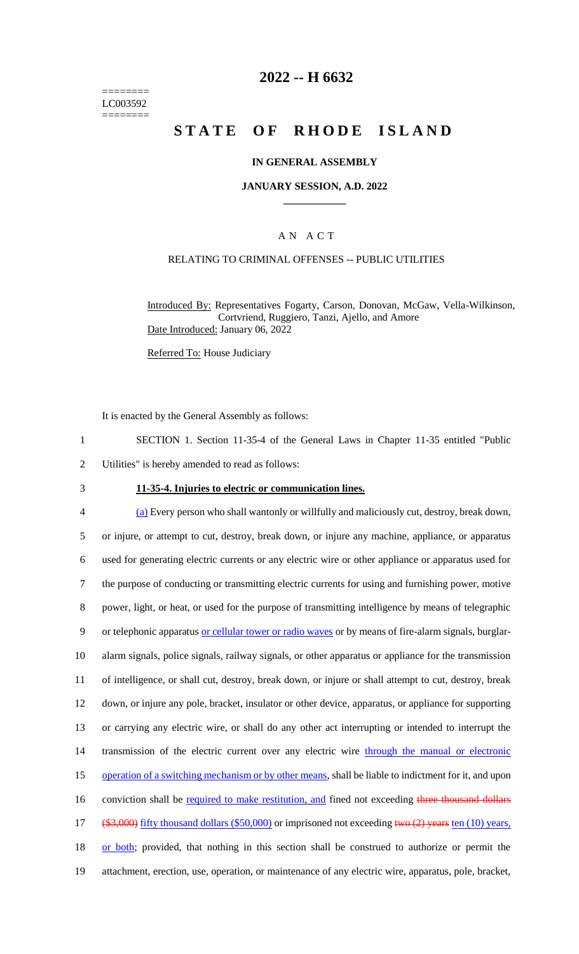======== LC003592 ========

## **2022 -- H 6632**

# **STATE OF RHODE ISLAND**

## **IN GENERAL ASSEMBLY**

#### **JANUARY SESSION, A.D. 2022 \_\_\_\_\_\_\_\_\_\_\_\_**

## A N A C T

## RELATING TO CRIMINAL OFFENSES -- PUBLIC UTILITIES

Introduced By: Representatives Fogarty, Carson, Donovan, McGaw, Vella-Wilkinson, Cortvriend, Ruggiero, Tanzi, Ajello, and Amore Date Introduced: January 06, 2022

Referred To: House Judiciary

It is enacted by the General Assembly as follows:

- 1 SECTION 1. Section 11-35-4 of the General Laws in Chapter 11-35 entitled "Public
- 2 Utilities" is hereby amended to read as follows:
- 

#### 3 **11-35-4. Injuries to electric or communication lines.**

 (a) Every person who shall wantonly or willfully and maliciously cut, destroy, break down, or injure, or attempt to cut, destroy, break down, or injure any machine, appliance, or apparatus used for generating electric currents or any electric wire or other appliance or apparatus used for the purpose of conducting or transmitting electric currents for using and furnishing power, motive power, light, or heat, or used for the purpose of transmitting intelligence by means of telegraphic 9 or telephonic apparatus or cellular tower or radio waves or by means of fire-alarm signals, burglar- alarm signals, police signals, railway signals, or other apparatus or appliance for the transmission of intelligence, or shall cut, destroy, break down, or injure or shall attempt to cut, destroy, break down, or injure any pole, bracket, insulator or other device, apparatus, or appliance for supporting or carrying any electric wire, or shall do any other act interrupting or intended to interrupt the 14 transmission of the electric current over any electric wire through the manual or electronic 15 operation of a switching mechanism or by other means, shall be liable to indictment for it, and upon 16 conviction shall be required to make restitution, and fined not exceeding three thousand dollars 17 (\$3,000) fifty thousand dollars (\$50,000) or imprisoned not exceeding two (2) years ten (10) years, 18 or both; provided, that nothing in this section shall be construed to authorize or permit the attachment, erection, use, operation, or maintenance of any electric wire, apparatus, pole, bracket,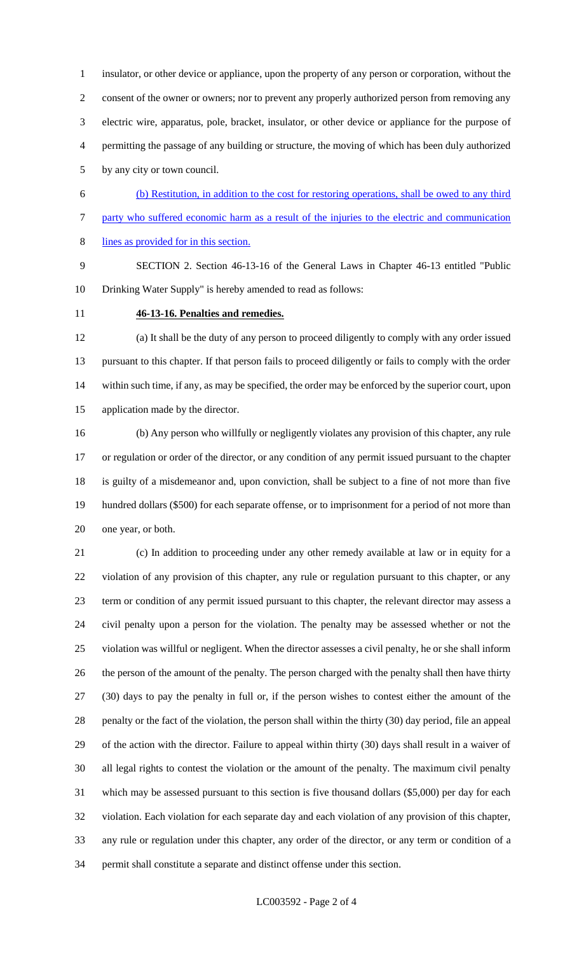insulator, or other device or appliance, upon the property of any person or corporation, without the 2 consent of the owner or owners; nor to prevent any properly authorized person from removing any electric wire, apparatus, pole, bracket, insulator, or other device or appliance for the purpose of permitting the passage of any building or structure, the moving of which has been duly authorized by any city or town council.

 (b) Restitution, in addition to the cost for restoring operations, shall be owed to any third party who suffered economic harm as a result of the injuries to the electric and communication lines as provided for in this section.

 SECTION 2. Section 46-13-16 of the General Laws in Chapter 46-13 entitled "Public Drinking Water Supply" is hereby amended to read as follows:

#### **46-13-16. Penalties and remedies.**

 (a) It shall be the duty of any person to proceed diligently to comply with any order issued pursuant to this chapter. If that person fails to proceed diligently or fails to comply with the order within such time, if any, as may be specified, the order may be enforced by the superior court, upon application made by the director.

 (b) Any person who willfully or negligently violates any provision of this chapter, any rule or regulation or order of the director, or any condition of any permit issued pursuant to the chapter is guilty of a misdemeanor and, upon conviction, shall be subject to a fine of not more than five hundred dollars (\$500) for each separate offense, or to imprisonment for a period of not more than one year, or both.

 (c) In addition to proceeding under any other remedy available at law or in equity for a violation of any provision of this chapter, any rule or regulation pursuant to this chapter, or any term or condition of any permit issued pursuant to this chapter, the relevant director may assess a civil penalty upon a person for the violation. The penalty may be assessed whether or not the violation was willful or negligent. When the director assesses a civil penalty, he or she shall inform the person of the amount of the penalty. The person charged with the penalty shall then have thirty (30) days to pay the penalty in full or, if the person wishes to contest either the amount of the penalty or the fact of the violation, the person shall within the thirty (30) day period, file an appeal of the action with the director. Failure to appeal within thirty (30) days shall result in a waiver of all legal rights to contest the violation or the amount of the penalty. The maximum civil penalty which may be assessed pursuant to this section is five thousand dollars (\$5,000) per day for each violation. Each violation for each separate day and each violation of any provision of this chapter, any rule or regulation under this chapter, any order of the director, or any term or condition of a permit shall constitute a separate and distinct offense under this section.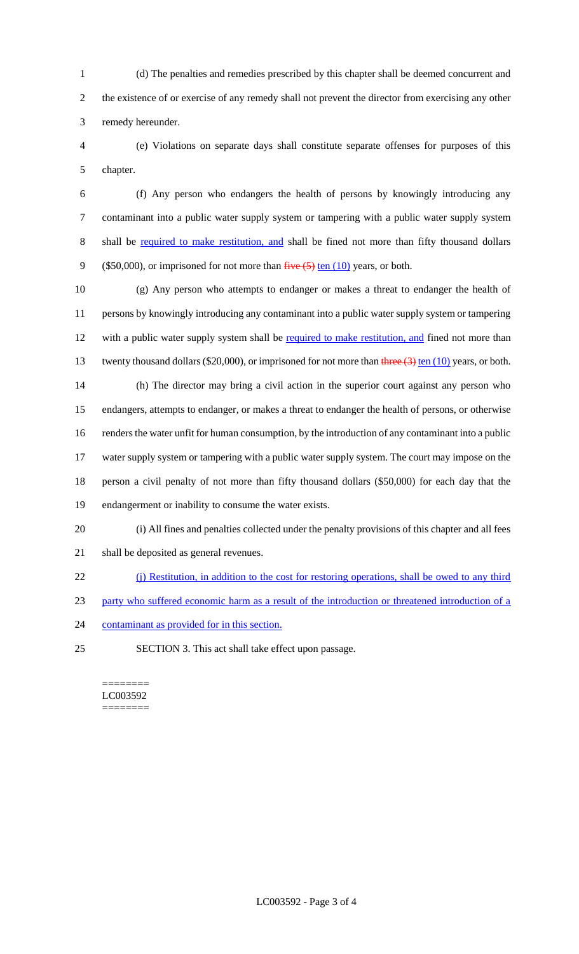(d) The penalties and remedies prescribed by this chapter shall be deemed concurrent and the existence of or exercise of any remedy shall not prevent the director from exercising any other remedy hereunder.

 (e) Violations on separate days shall constitute separate offenses for purposes of this chapter.

 (f) Any person who endangers the health of persons by knowingly introducing any contaminant into a public water supply system or tampering with a public water supply system shall be required to make restitution, and shall be fined not more than fifty thousand dollars 9 (\$50,000), or imprisoned for not more than  $\frac{f}{f}$  ten (10) years, or both.

 (g) Any person who attempts to endanger or makes a threat to endanger the health of persons by knowingly introducing any contaminant into a public water supply system or tampering 12 with a public water supply system shall be required to make restitution, and fined not more than 13 twenty thousand dollars (\$20,000), or imprisoned for not more than three (3) ten (10) years, or both. (h) The director may bring a civil action in the superior court against any person who endangers, attempts to endanger, or makes a threat to endanger the health of persons, or otherwise renders the water unfit for human consumption, by the introduction of any contaminant into a public water supply system or tampering with a public water supply system. The court may impose on the person a civil penalty of not more than fifty thousand dollars (\$50,000) for each day that the endangerment or inability to consume the water exists. (i) All fines and penalties collected under the penalty provisions of this chapter and all fees

- shall be deposited as general revenues.
- (j) Restitution, in addition to the cost for restoring operations, shall be owed to any third
- party who suffered economic harm as a result of the introduction or threatened introduction of a
- 24 contaminant as provided for in this section.
- SECTION 3. This act shall take effect upon passage.

======== LC003592 ========